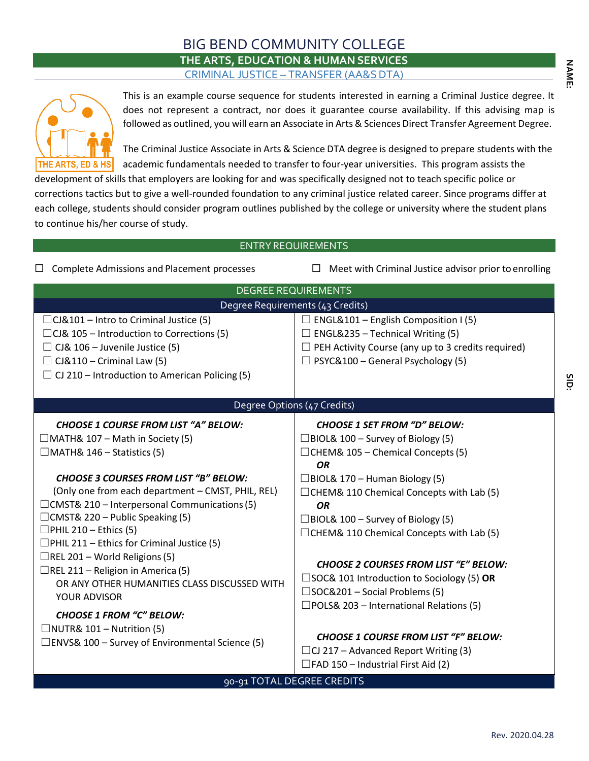## BIG BEND COMMUNITY COLLEGE **THE ARTS, EDUCATION & HUMAN SERVICES** CRIMINAL JUSTICE – TRANSFER (AA&S DTA)



This is an example course sequence for students interested in earning a Criminal Justice degree. It does not represent a contract, nor does it guarantee course availability. If this advising map is followed as outlined, you will earn an Associate in Arts& Sciences Direct Transfer Agreement Degree.

The Criminal Justice Associate in Arts & Science DTA degree is designed to prepare students with the academic fundamentals needed to transfer to four-year universities. This program assists the

development of skills that employers are looking for and was specifically designed not to teach specific police or corrections tactics but to give a well-rounded foundation to any criminal justice related career. Since programs differ at each college, students should consider program outlines published by the college or university where the student plans to continue his/her course of study.

## ENTRY REQUIREMENTS

 $\Box$  Complete Admissions and Placement processes  $\Box$  Meet with Criminal Justice advisor prior to enrolling

| <b>DEGREE REQUIREMENTS</b>                                                                                                                                                                                                                                                                                                                                                                                                                                                                                                                                                                                                                                                                                    |                                                                                                                                                                                                                                                                                                                                                                                                                                                                                                                                                                                                 |  |  |  |
|---------------------------------------------------------------------------------------------------------------------------------------------------------------------------------------------------------------------------------------------------------------------------------------------------------------------------------------------------------------------------------------------------------------------------------------------------------------------------------------------------------------------------------------------------------------------------------------------------------------------------------------------------------------------------------------------------------------|-------------------------------------------------------------------------------------------------------------------------------------------------------------------------------------------------------------------------------------------------------------------------------------------------------------------------------------------------------------------------------------------------------------------------------------------------------------------------------------------------------------------------------------------------------------------------------------------------|--|--|--|
| Degree Requirements (43 Credits)                                                                                                                                                                                                                                                                                                                                                                                                                                                                                                                                                                                                                                                                              |                                                                                                                                                                                                                                                                                                                                                                                                                                                                                                                                                                                                 |  |  |  |
| $\Box$ CJ&101 – Intro to Criminal Justice (5)<br>$\Box$ CJ& 105 – Introduction to Corrections (5)<br>$\Box$ CJ& 106 – Juvenile Justice (5)<br>$\Box$ CJ&110 – Criminal Law (5)<br>$\Box$ CJ 210 – Introduction to American Policing (5)                                                                                                                                                                                                                                                                                                                                                                                                                                                                       | ENGL&101 - English Composition I (5)<br>$\Box$ ENGL&235 – Technical Writing (5)<br>PEH Activity Course (any up to 3 credits required)<br>$\Box$ PSYC&100 – General Psychology (5)                                                                                                                                                                                                                                                                                                                                                                                                               |  |  |  |
| Degree Options (47 Credits)                                                                                                                                                                                                                                                                                                                                                                                                                                                                                                                                                                                                                                                                                   |                                                                                                                                                                                                                                                                                                                                                                                                                                                                                                                                                                                                 |  |  |  |
| <b>CHOOSE 1 COURSE FROM LIST "A" BELOW:</b><br>$\Box$ MATH& 107 – Math in Society (5)<br>$\Box$ MATH& 146 – Statistics (5)<br><b>CHOOSE 3 COURSES FROM LIST "B" BELOW:</b><br>(Only one from each department - CMST, PHIL, REL)<br>$\Box$ CMST& 210 – Interpersonal Communications (5)<br>$\Box$ CMST& 220 – Public Speaking (5)<br>$\Box$ PHIL 210 – Ethics (5)<br>$\Box$ PHIL 211 – Ethics for Criminal Justice (5)<br>$\Box$ REL 201 – World Religions (5)<br>$\Box$ REL 211 – Religion in America (5)<br>OR ANY OTHER HUMANITIES CLASS DISCUSSED WITH<br>YOUR ADVISOR<br><b>CHOOSE 1 FROM "C" BELOW:</b><br>$\Box$ NUTR& 101 – Nutrition (5)<br>$\square$ ENVS& 100 – Survey of Environmental Science (5) | <b>CHOOSE 1 SET FROM "D" BELOW:</b><br>$\Box$ BIOL& 100 – Survey of Biology (5)<br>$\Box$ CHEM& 105 – Chemical Concepts (5)<br><b>OR</b><br>$\Box$ BIOL& 170 – Human Biology (5)<br>$\Box$ CHEM& 110 Chemical Concepts with Lab (5)<br><b>OR</b><br>$\Box$ BIOL& 100 – Survey of Biology (5)<br>□CHEM& 110 Chemical Concepts with Lab (5)<br><b>CHOOSE 2 COURSES FROM LIST "E" BELOW:</b><br>$\square$ SOC& 101 Introduction to Sociology (5) OR<br>$\square$ SOC&201 – Social Problems (5)<br>$\square$ POLS& 203 – International Relations (5)<br><b>CHOOSE 1 COURSE FROM LIST "F" BELOW:</b> |  |  |  |
|                                                                                                                                                                                                                                                                                                                                                                                                                                                                                                                                                                                                                                                                                                               | $\Box$ CJ 217 – Advanced Report Writing (3)<br>$\Box$ FAD 150 – Industrial First Aid (2)                                                                                                                                                                                                                                                                                                                                                                                                                                                                                                        |  |  |  |

90-91 TOTAL DEGREE CREDITS

**N A ME:**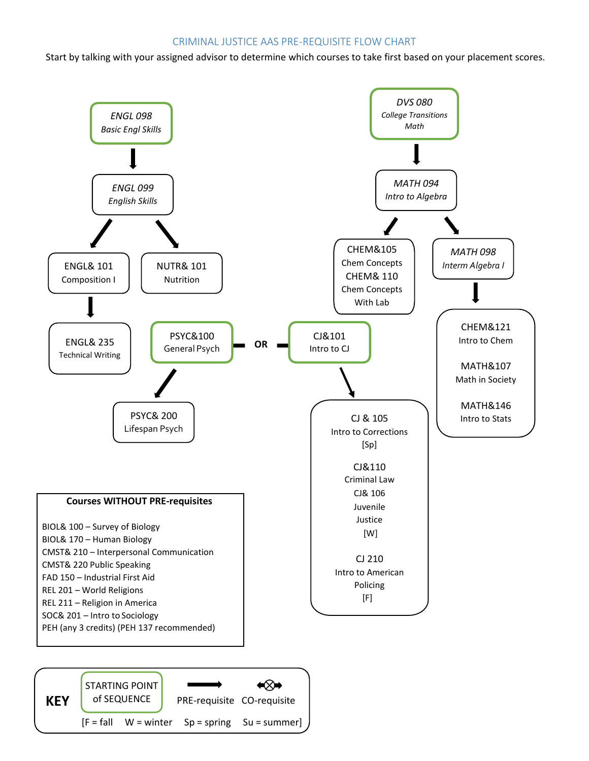## CRIMINAL JUSTICE AAS PRE-REQUISITE FLOW CHART

Start by talking with your assigned advisor to determine which courses to take first based on your placement scores.

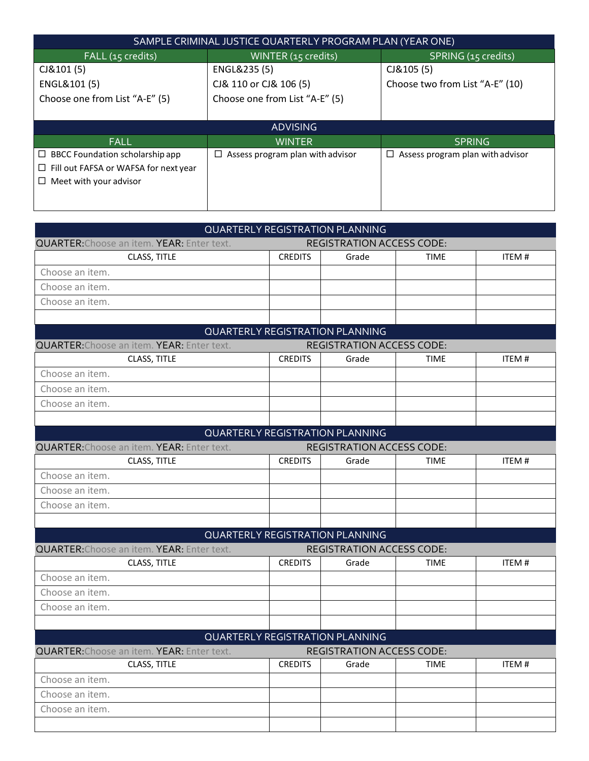| SAMPLE CRIMINAL JUSTICE QUARTERLY PROGRAM PLAN (YEAR ONE) |                                       |                                            |  |  |
|-----------------------------------------------------------|---------------------------------------|--------------------------------------------|--|--|
| FALL (15 credits)                                         | WINTER (15 credits)                   | SPRING (15 credits)                        |  |  |
| CJ&101(5)                                                 | ENGL&235 (5)                          | CJ&105(5)                                  |  |  |
| ENGL&101 (5)                                              | CJ& 110 or CJ& 106 (5)                | Choose two from List "A-E" (10)            |  |  |
| Choose one from List "A-E" (5)                            | Choose one from List "A-E" (5)        |                                            |  |  |
|                                                           |                                       |                                            |  |  |
| <b>ADVISING</b>                                           |                                       |                                            |  |  |
| <b>FALL</b>                                               | WINTER,                               | <b>SPRING</b>                              |  |  |
| BBCC Foundation scholarship app<br>$\Box$                 | Assess program plan with advisor<br>□ | Assess program plan with advisor<br>$\Box$ |  |  |
| $\Box$ Fill out FAFSA or WAFSA for next year              |                                       |                                            |  |  |
| Meet with your advisor                                    |                                       |                                            |  |  |
|                                                           |                                       |                                            |  |  |

| QUARTERLY REGISTRATION PLANNING                   |                                  |                                        |             |       |
|---------------------------------------------------|----------------------------------|----------------------------------------|-------------|-------|
| <b>QUARTER: Choose an item. YEAR: Enter text.</b> | <b>REGISTRATION ACCESS CODE:</b> |                                        |             |       |
| CLASS, TITLE                                      | <b>CREDITS</b>                   | Grade                                  | <b>TIME</b> | ITEM# |
| Choose an item.                                   |                                  |                                        |             |       |
| Choose an item.                                   |                                  |                                        |             |       |
| Choose an item.                                   |                                  |                                        |             |       |
|                                                   |                                  |                                        |             |       |
|                                                   |                                  | QUARTERLY REGISTRATION PLANNING        |             |       |
| <b>QUARTER: Choose an item. YEAR: Enter text.</b> |                                  | <b>REGISTRATION ACCESS CODE:</b>       |             |       |
| CLASS, TITLE                                      | <b>CREDITS</b>                   | Grade                                  | <b>TIME</b> | ITEM# |
| Choose an item.                                   |                                  |                                        |             |       |
| Choose an item.                                   |                                  |                                        |             |       |
| Choose an item.                                   |                                  |                                        |             |       |
|                                                   |                                  |                                        |             |       |
|                                                   |                                  | QUARTERLY REGISTRATION PLANNING        |             |       |
| <b>QUARTER: Choose an item. YEAR: Enter text.</b> |                                  | <b>REGISTRATION ACCESS CODE:</b>       |             |       |
| CLASS, TITLE                                      | <b>CREDITS</b>                   | Grade                                  | <b>TIME</b> | ITEM# |
| Choose an item.                                   |                                  |                                        |             |       |
| Choose an item.                                   |                                  |                                        |             |       |
| Choose an item.                                   |                                  |                                        |             |       |
|                                                   |                                  |                                        |             |       |
|                                                   |                                  | <b>QUARTERLY REGISTRATION PLANNING</b> |             |       |
| <b>QUARTER: Choose an item. YEAR: Enter text.</b> |                                  | <b>REGISTRATION ACCESS CODE:</b>       |             |       |
| CLASS, TITLE                                      | <b>CREDITS</b>                   | Grade                                  | <b>TIME</b> | ITEM# |
| Choose an item.                                   |                                  |                                        |             |       |
| Choose an item.                                   |                                  |                                        |             |       |
| Choose an item.                                   |                                  |                                        |             |       |
|                                                   |                                  |                                        |             |       |
|                                                   |                                  | <b>QUARTERLY REGISTRATION PLANNING</b> |             |       |
| <b>QUARTER: Choose an item. YEAR: Enter text.</b> |                                  | <b>REGISTRATION ACCESS CODE:</b>       |             |       |
| CLASS, TITLE                                      | <b>CREDITS</b>                   | Grade                                  | <b>TIME</b> | ITEM# |
| Choose an item.                                   |                                  |                                        |             |       |
| Choose an item.                                   |                                  |                                        |             |       |
| Choose an item.                                   |                                  |                                        |             |       |
|                                                   |                                  |                                        |             |       |